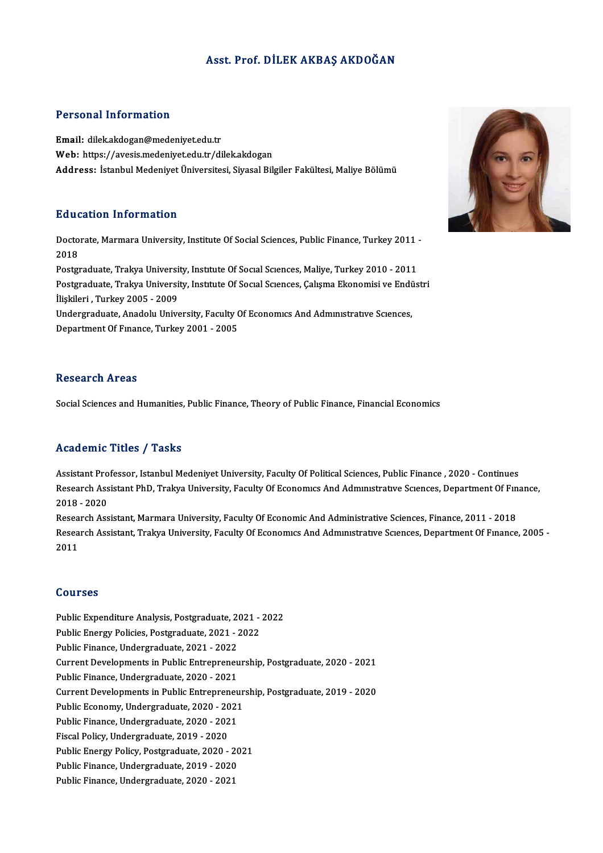#### Asst. Prof. DİLEK AKBAŞ AKDOĞAN

#### Personal Information

Email: dilek.akdogan@medeniyet.edu.tr Web: https://avesis.medeniyet.edu.tr/dilek.akdogan Address: İstanbul Medeniyet Üniversitesi, Siyasal Bilgiler Fakültesi, Maliye Bölümü

#### Education Information

**Education Information**<br>Doctorate, Marmara University, Institute Of Social Sciences, Public Finance, Turkey 2011 -<br>2018 Huute<br>Docto<br>2018 Doctorate, Marmara University, Institute Of Social Sciences, Public Finance, Turkey 2011 -<br>2018<br>Postgraduate, Trakya University, Institute Of Social Sciences, Maliye, Turkey 2010 - 2011<br>Postgraduate, Trakya University, Ins 2018<br>Postgraduate, Trakya University, Institute Of Social Sciences, Maliye, Turkey 2010 - 2011<br>Postgraduate, Trakya University, Institute Of Social Sciences, Çalışma Ekonomisi ve Endüstri<br>İliakileri, Turkey 2005 - 2009 Postgraduate, Trakya University, Institute Of Social Sciences, Maliye, Turkey 2010 - 2011<br>Postgraduate, Trakya University, Institute Of Social Sciences, Çalışma Ekonomisi ve Endüs<br>İlişkileri , Turkey 2005 - 2009<br>Undergradu Postgraduate, Trakya University, Institute Of Social Sciences, Çalışma Ekonomisi ve Endi<br>İlişkileri , Turkey 2005 - 2009<br>Undergraduate, Anadolu University, Faculty Of Economics And Administrative Sciences,<br>Department Of Eu Department Of Finance, Turkey 2001 - 2005

#### **Research Areas**

Social Sciences and Humanities, Public Finance, Theory of Public Finance, Financial Economics

#### Academic Titles / Tasks

Assistant Professor, Istanbul Medeniyet University, Faculty Of Political Sciences, Public Finance , 2020 - Continues redu enne Treres 7 Tubris<br>Assistant Professor, Istanbul Medeniyet University, Faculty Of Political Sciences, Public Finance , 2020 - Continues<br>Research Assistant PhD, Trakya University, Faculty Of Economics And Administrat Assistant Pro<br>Research Ass<br>2018 - 2020<br>Besearch Ass Research Assistant PhD, Trakya University, Faculty Of Economics And Administrative Sciences, Department Of Fin<br>2018 - 2020<br>Research Assistant, Marmara University, Faculty Of Economic And Administrative Sciences, Finance, 2

2018 - 2020<br>Research Assistant, Marmara University, Faculty Of Economic And Administrative Sciences, Finance, 2011 - 2018<br>Research Assistant, Trakya University, Faculty Of Economics And Administrative Sciences, Department Research Assistant, Marmara University, Faculty Of Economic And Administrative Sciences, Finance, 2011 - 2018

#### Courses

Courses<br>Public Expenditure Analysis, Postgraduate, 2021 - 2022<br>Public Energy Policies, Postgraduate, 2021 - 2022 Public Expenditure Analysis, Postgraduate, 2021 -<br>Public Energy Policies, Postgraduate, 2021 - 2022<br>Public Einance, Undergraduate, 2021 - 2022 Public Expenditure Analysis, Postgraduate, 20<br>Public Energy Policies, Postgraduate, 2021 - 2<br>Public Finance, Undergraduate, 2021 - 2022<br>Current Developments in Public Entreprency Public Energy Policies, Postgraduate, 2021 - 2022<br>Public Finance, Undergraduate, 2021 - 2022<br>Current Developments in Public Entrepreneurship, Postgraduate, 2020 - 2021<br>Public Finance, Undergraduate, 2020 - 2021 Public Finance, Undergraduate, 2021 - 2022<br>Current Developments in Public Entrepreneu<br>Public Finance, Undergraduate, 2020 - 2021<br>Current Developments in Public Entrepreneu Current Developments in Public Entrepreneurship, Postgraduate, 2020 - 2021<br>Public Finance, Undergraduate, 2020 - 2021<br>Current Developments in Public Entrepreneurship, Postgraduate, 2019 - 2020<br>Public Economy, Undergraduate Public Finance, Undergraduate, 2020 - 2021<br>Current Developments in Public Entrepreneur<br>Public Economy, Undergraduate, 2020 - 2021<br>Public Einance, Undergraduate, 2020 - 2021 Current Developments in Public Entrepreneu<br>Public Economy, Undergraduate, 2020 - 2021<br>Public Finance, Undergraduate, 2020 - 2021<br>Fiscal Policy, Undergraduate, 2019, 2020 Public Economy, Undergraduate, 2020 - 20<br>Public Finance, Undergraduate, 2020 - 202<br>Fiscal Policy, Undergraduate, 2019 - 2020<br>Public Fnanzy Policy, Postanaduate, 2020 Public Finance, Undergraduate, 2020 - 2021<br>Fiscal Policy, Undergraduate, 2019 - 2020<br>Public Energy Policy, Postgraduate, 2020 - 2021<br>Public Finance, Undergraduate, 2019 - 2020 Fiscal Policy, Undergraduate, 2019 - 2020<br>Public Energy Policy, Postgraduate, 2020 - 20<br>Public Finance, Undergraduate, 2019 - 2020<br>Public Finance, Undergraduate, 2020 - 2021 Public Finance, Undergraduate, 2020 - 2021

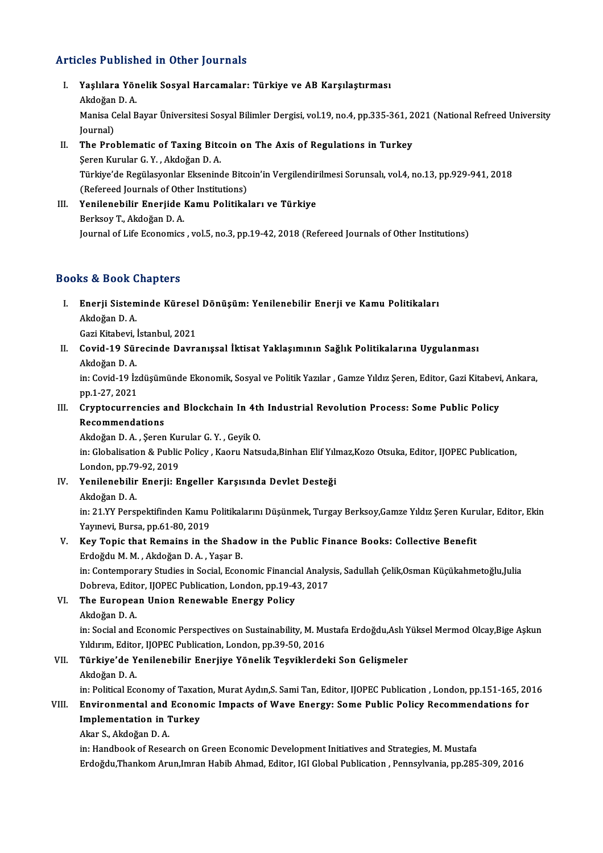#### Articles Published in Other Journals

- rticles Published in Other Journals<br>I. Yaşlılara Yönelik Sosyal Harcamalar: Türkiye ve AB Karşılaştırması<br>Akdoğan D.A Ace I denen<br>Yaşlılara Yör<br>Akdoğan D. A.<br>Manisa Celal B Yaşlılara Yönelik Sosyal Harcamalar: Türkiye ve AB Karşılaştırması<br>Akdoğan D. A.<br>Manisa Celal Bayar Üniversitesi Sosyal Bilimler Dergisi, vol.19, no.4, pp.335-361, 2021 (National Refreed University Akdoğan<br>Manisa C<br>Journal)<br>The Pre Manisa Celal Bayar Üniversitesi Sosyal Bilimler Dergisi, vol.19, no.4, pp.335-361, 2<br>Journal)<br>II. The Problematic of Taxing Bitcoin on The Axis of Regulations in Turkey<br>Seren Kurular G. Y., Aldežen D.A. Journal)<br>II. The Problematic of Taxing Bitcoin on The Axis of Regulations in Turkey<br>Şeren Kurular G.Y., Akdoğan D.A.
- The Problematic of Taxing Bitcoin on The Axis of Regulations in Turkey<br>Şeren Kurular G. Y. , Akdoğan D. A.<br>Türkiye'de Regülasyonlar Ekseninde Bitcoin'in Vergilendirilmesi Sorunsalı, vol.4, no.13, pp.929-941, 2018<br>(Beforeed Şeren Kurular G. Y. , Akdoğan D. A.<br>Türkiye'de Regülasyonlar Ekseninde Bitco<br>(Refereed Journals of Other Institutions)<br>Yonilanebilin Eneriide Kamu Bolitika Türkiye'de Regülasyonlar Ekseninde Bitcoin'in Vergilendir<br>(Refereed Journals of Other Institutions)<br>III. Yenilenebilir Enerjide Kamu Politikaları ve Türkiye<br>Periseu T. Akdağan D.A
- (Refereed Journals of Oth<br>**Yenilenebilir Enerjide**<br>Berksoy T., Akdoğan D. A.<br>Journal of Life Economics Berksoy T., Akdoğan D. A.<br>Journal of Life Economics , vol.5, no.3, pp.19-42, 2018 (Refereed Journals of Other Institutions)

#### Books&Book Chapters

ooks & Book Chapters<br>I. Enerji Sisteminde Küresel Dönüşüm: Yenilenebilir Enerji ve Kamu Politikaları<br>Akdoğan D.A ra 2001<br>Enerji Sistem<br>Akdoğan D. A.<br>Cari Viteberi <mark>Enerji Sisteminde Küresel</mark><br>Akdoğan D. A.<br>Gazi Kitabevi, İstanbul, 2021<br>Cavid 10 Süresinde Davre

Akdoğan D. A.<br>Gazi Kitabevi, İstanbul, 2021<br>II. Covid-19 Sürecinde Davranışsal İktisat Yaklaşımının Sağlık Politikalarına Uygulanması<br>Akdoğar D. A Gazi Kitabevi, İ<br>Covid-19 Sür<br>Akdoğan D. A.<br>in: Covid 10 İn

Akdoğan D. A.<br>in: Covid-19 İzdüşümünde Ekonomik, Sosyal ve Politik Yazılar , Gamze Yıldız Şeren, Editor, Gazi Kitabevi, Ankara, pp.1-27,2021 in: Covid-19 İzdüşümünde Ekonomik, Sosyal ve Politik Yazılar , Gamze Yıldız Şeren, Editor, Gazi Kitabevi<br>pp.1-27, 2021<br>III. Cryptocurrencies and Blockchain In 4th Industrial Revolution Process: Some Public Policy<br>Pessemmen

pp.1-27, 2021<br>Cryptocurrencies a<br>Recommendations<br>Altiežen D.A. Seren Cryptocurrencies and Blockchain In 4th<br>Recommendations<br>Akdoğan D.A. , Şeren Kurular G.Y. , Geyik O.<br>in: Clabalisation & Public Policy, Kaoru Nata

Recommendations<br>Akdoğan D. A. , Şeren Kurular G. Y. , Geyik O.<br>in: Globalisation & Public Policy , Kaoru Natsuda,Binhan Elif Yılmaz,Kozo Otsuka, Editor, IJOPEC Publication,<br>Landan, nn 79,92, 2019 Akdoğan D. A. , Şeren Kui<br>in: Globalisation & Public<br>London, pp.79-92, 2019<br>Yonilonabilir Enorii: E in: Globalisation & Public Policy , Kaoru Natsuda,Binhan Elif Yılı<br>London, pp.79-92, 2019<br>IV. Yenilenebilir Enerji: Engeller Karşısında Devlet Desteği

London, pp.79<br>**Yenilenebilir**<br>Akdoğan D. A.<br>in: 21 VV Perci Akdoğan D. A.<br>in: 21.YY Perspektifinden Kamu Politikalarını Düşünmek, Turgay Berksoy,Gamze Yıldız Şeren Kurular, Editor, Ekin Yayınevi, Bursa, pp.61-80, 2019

### in: 21.YY Perspektifinden Kamu Politikalarını Düşünmek, Turgay Berksoy,Gamze Yıldız Şeren Kuru<br>Yayınevi, Bursa, pp.61-80, 2019<br>V. Key Topic that Remains in the Shadow in the Public Finance Books: Collective Benefit<br>Frdoğdu Yayınevi, Bursa, pp.61-80, 2019<br>**Key Topic that Remains in the Shad<br>Erdoğdu M. M. , Akdoğan D. A. , Yaşar B.<br>in: Contemporew: Studies in Social Econ** Key Topic that Remains in the Shadow in the Public Finance Books: Collective Benefit<br>Erdoğdu M. M. , Akdoğan D. A. , Yaşar B.<br>in: Contemporary Studies in Social, Economic Financial Analysis, Sadullah Çelik,Osman Küçükahmet

Erdoğdu M. M. , Akdoğan D. A. , Yaşar B.<br>in: Contemporary Studies in Social, Economic Financial Analys<br>Dobreva, Editor, IJOPEC Publication, London, pp.19-43, 2017<br>The European Union Benewable Energy Policy in: Contemporary Studies in Social, Economic Financia<br>Dobreva, Editor, IJOPEC Publication, London, pp.19-4<br>VI. The European Union Renewable Energy Policy

## Dobreva, Editor, IJOPEC Publication, London, pp.19-43, 2017<br>The European Union Renewable Energy Policy<br>Akdoğan D. A.

The European Union Renewable Energy Policy<br>Akdoğan D. A.<br>in: Social and Economic Perspectives on Sustainability, M. Mustafa Erdoğdu,Aslı Yüksel Mermod Olcay,Bige Aşkun<br>Yıldınım Editor HOBEC Bubligation London nn 39,50,2016 Akdoğan D. A.<br>in: Social and Economic Perspectives on Sustainability, M. Mu<br>Yıldırım, Editor, IJOPEC Publication, London, pp.39-50, 2016<br>Türkiye'de Yapilenebilir Eneriive Vänelik Tesviklerde in: Social and Economic Perspectives on Sustainability, M. Mustafa Erdoğdu,Aslı Y<br>Yıldırım, Editor, IJOPEC Publication, London, pp.39-50, 2016<br>VII. Türkiye'de Yenilenebilir Enerjiye Yönelik Teşviklerdeki Son Gelişmeler<br>Ald

# Yıldırım, Edito<br><mark>Türkiye'de Y</mark><br>Akdoğan D. A.<br>in: Political Ecc

Türkiye'de Yenilenebilir Enerjiye Yönelik Teşviklerdeki Son Gelişmeler<br>Akdoğan D. A.<br>in: Political Economy of Taxation, Murat Aydın,S. Sami Tan, Editor, IJOPEC Publication , London, pp.151-165, 2016<br>Environmental and Econo

### Akdoğan D. A.<br>in: Political Economy of Taxation, Murat Aydın,S. Sami Tan, Editor, IJOPEC Publication , London, pp.151-165, 20<br>VIII. Environmental and Economic Impacts of Wave Energy: Some Public Policy Recommendations in: Political Economy of Taxati<br>Environmental and Econor<br>Implementation in Turkey Environmental and<br>Implementation in 1<br>Akar S., Akdoğan D. A.<br>in: Handbook of Besse I<mark>mplementation in Turkey</mark><br>Akar S., Akdoğan D. A.<br>in: Handbook of Research on Green Economic Development Initiatives and Strategies, M. Mustafa

Erdoğdu,Thankom Arun,Imran Habib Ahmad, Editor, IGI Global Publication, Pennsylvania, pp.285-309, 2016